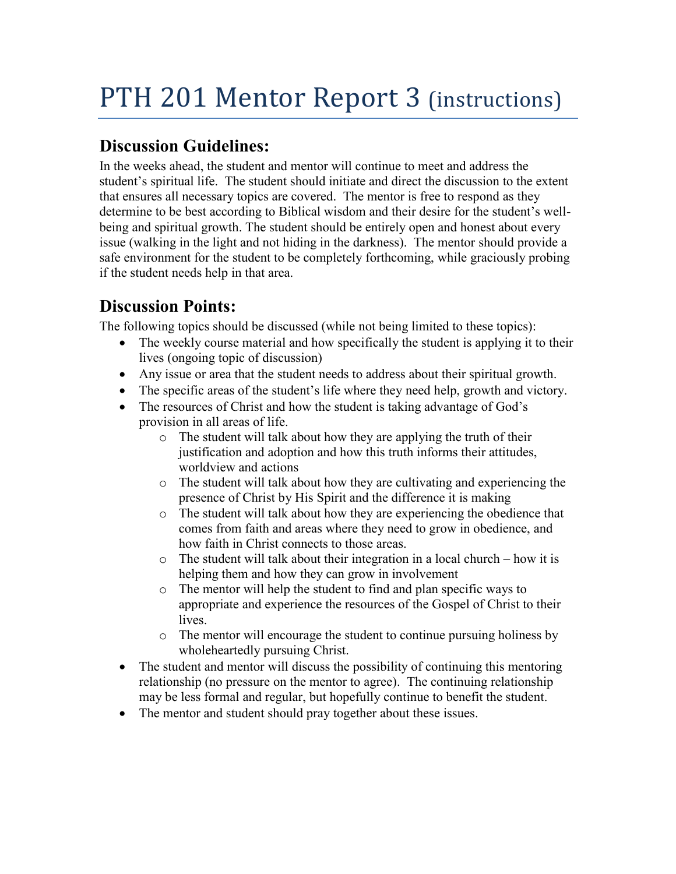## **Discussion Guidelines:**

In the weeks ahead, the student and mentor will continue to meet and address the student's spiritual life. The student should initiate and direct the discussion to the extent that ensures all necessary topics are covered. The mentor is free to respond as they determine to be best according to Biblical wisdom and their desire for the student's wellbeing and spiritual growth. The student should be entirely open and honest about every issue (walking in the light and not hiding in the darkness). The mentor should provide a safe environment for the student to be completely forthcoming, while graciously probing if the student needs help in that area.

## **Discussion Points:**

The following topics should be discussed (while not being limited to these topics):

- The weekly course material and how specifically the student is applying it to their lives (ongoing topic of discussion)
- Any issue or area that the student needs to address about their spiritual growth.
- The specific areas of the student's life where they need help, growth and victory.
- The resources of Christ and how the student is taking advantage of God's provision in all areas of life.
	- o The student will talk about how they are applying the truth of their justification and adoption and how this truth informs their attitudes, worldview and actions
	- o The student will talk about how they are cultivating and experiencing the presence of Christ by His Spirit and the difference it is making
	- o The student will talk about how they are experiencing the obedience that comes from faith and areas where they need to grow in obedience, and how faith in Christ connects to those areas.
	- o The student will talk about their integration in a local church how it is helping them and how they can grow in involvement
	- o The mentor will help the student to find and plan specific ways to appropriate and experience the resources of the Gospel of Christ to their lives.
	- o The mentor will encourage the student to continue pursuing holiness by wholeheartedly pursuing Christ.
- The student and mentor will discuss the possibility of continuing this mentoring relationship (no pressure on the mentor to agree). The continuing relationship may be less formal and regular, but hopefully continue to benefit the student.
- The mentor and student should pray together about these issues.